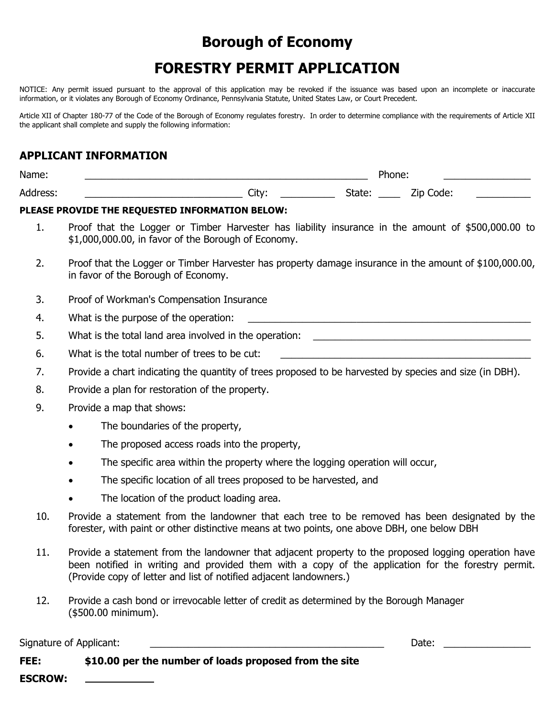## **Borough of Economy**

# **FORESTRY PERMIT APPLICATION**

NOTICE: Any permit issued pursuant to the approval of this application may be revoked if the issuance was based upon an incomplete or inaccurate information, or it violates any Borough of Economy Ordinance, Pennsylvania Statute, United States Law, or Court Precedent.

Article XII of Chapter 180-77 of the Code of the Borough of Economy regulates forestry. In order to determine compliance with the requirements of Article XII the applicant shall complete and supply the following information:

### **APPLICANT INFORMATION**

| Name:                  | 'hone: |        |                    |  |
|------------------------|--------|--------|--------------------|--|
| <b>Address</b><br>coo. | City:  | Jlalc. | code:<br>′ın<br>-- |  |

#### **PLEASE PROVIDE THE REQUESTED INFORMATION BELOW:**

- 1. Proof that the Logger or Timber Harvester has liability insurance in the amount of \$500,000.00 to \$1,000,000.00, in favor of the Borough of Economy.
- 2. Proof that the Logger or Timber Harvester has property damage insurance in the amount of \$100,000.00, in favor of the Borough of Economy.
- 3. Proof of Workman's Compensation Insurance
- 4. What is the purpose of the operation:
- 5. What is the total land area involved in the operation:
- 6. What is the total number of trees to be cut:
- 7. Provide a chart indicating the quantity of trees proposed to be harvested by species and size (in DBH).
- 8. Provide a plan for restoration of the property.
- 9. Provide a map that shows:
	- The boundaries of the property,
	- The proposed access roads into the property,
	- The specific area within the property where the logging operation will occur,
	- The specific location of all trees proposed to be harvested, and
	- The location of the product loading area.
- 10. Provide a statement from the landowner that each tree to be removed has been designated by the forester, with paint or other distinctive means at two points, one above DBH, one below DBH
- 11. Provide a statement from the landowner that adjacent property to the proposed logging operation have been notified in writing and provided them with a copy of the application for the forestry permit. (Provide copy of letter and list of notified adjacent landowners.)
- 12. Provide a cash bond or irrevocable letter of credit as determined by the Borough Manager (\$500.00 minimum).

Signature of Applicant: \_\_\_\_\_\_\_\_\_\_\_\_\_\_\_\_\_\_\_\_\_\_\_\_\_\_\_\_\_\_\_\_\_\_\_\_\_\_\_\_\_\_\_ Date: \_\_\_\_\_\_\_\_\_\_\_\_\_\_\_\_

| FEE:           | \$10.00 per the number of loads proposed from the site |
|----------------|--------------------------------------------------------|
| <b>ESCROW:</b> |                                                        |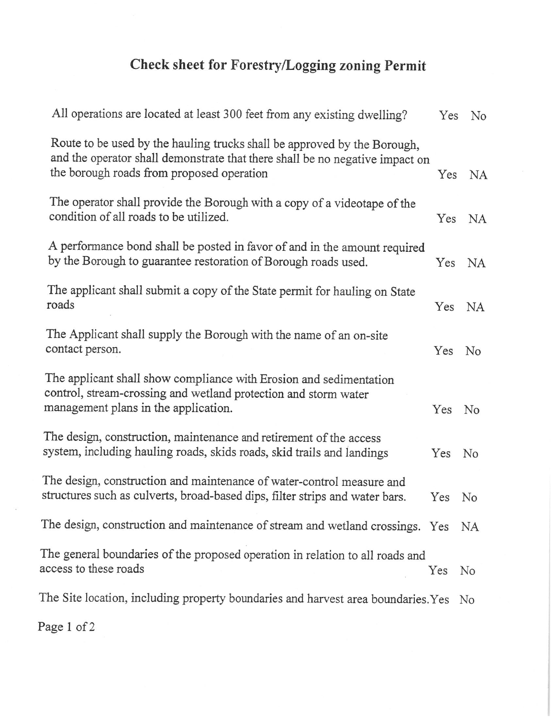# Check sheet for Forestry/Logging zoning Permit

| All operations are located at least 300 feet from any existing dwelling?                                                                                                                              | Yes | No             |
|-------------------------------------------------------------------------------------------------------------------------------------------------------------------------------------------------------|-----|----------------|
| Route to be used by the hauling trucks shall be approved by the Borough,<br>and the operator shall demonstrate that there shall be no negative impact on<br>the borough roads from proposed operation | Yes | <b>NA</b>      |
| The operator shall provide the Borough with a copy of a videotape of the<br>condition of all roads to be utilized.                                                                                    | Yes | <b>NA</b>      |
| A performance bond shall be posted in favor of and in the amount required<br>by the Borough to guarantee restoration of Borough roads used.                                                           | Yes | NA             |
| The applicant shall submit a copy of the State permit for hauling on State<br>roads                                                                                                                   | Yes | NA             |
| The Applicant shall supply the Borough with the name of an on-site<br>contact person.                                                                                                                 | Yes | No             |
| The applicant shall show compliance with Erosion and sedimentation<br>control, stream-crossing and wetland protection and storm water<br>management plans in the application.                         | Yes | No             |
| The design, construction, maintenance and retirement of the access<br>system, including hauling roads, skids roads, skid trails and landings                                                          | Yes | No             |
| The design, construction and maintenance of water-control measure and<br>structures such as culverts, broad-based dips, filter strips and water bars.                                                 | Yes | N <sub>o</sub> |
| The design, construction and maintenance of stream and wetland crossings. Yes NA                                                                                                                      |     |                |
| The general boundaries of the proposed operation in relation to all roads and<br>access to these roads                                                                                                | Yes | No             |
| The Site location, including property boundaries and harvest area boundaries. Yes No                                                                                                                  |     |                |
|                                                                                                                                                                                                       |     |                |

Page 1 of 2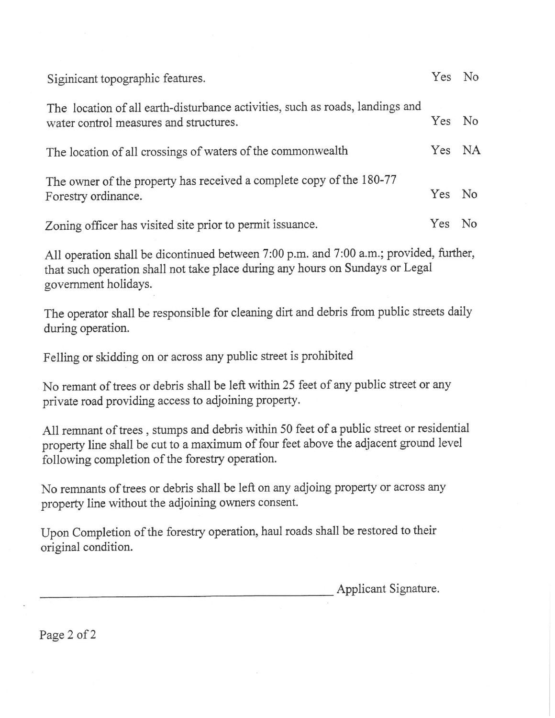| Siginicant topographic features.                                                                                        | Yes No |                |
|-------------------------------------------------------------------------------------------------------------------------|--------|----------------|
| The location of all earth-disturbance activities, such as roads, landings and<br>water control measures and structures. | Yes No |                |
| The location of all crossings of waters of the commonwealth                                                             | Yes NA |                |
| The owner of the property has received a complete copy of the 180-77<br>Forestry ordinance.                             | Yes No |                |
| Zoning officer has visited site prior to permit issuance.                                                               | Yes    | N <sub>0</sub> |

All operation shall be dicontinued between 7:00 p.m. and 7:00 a.m.; provided, further, that such operation shall not take place during any hours on Sundays or Legal government holidays.

The operator shall be responsible for cleaning dirt and debris from public streets daily during operation.

Felling or skidding on or across any public street is prohibited

No remant of trees or debris shall be left within 25 feet of any public street or any private road providing access to adjoining property.

All remnant of trees, stumps and debris within 50 feet of a public street or residential property line shall be cut to a maximum of four feet above the adjacent ground level following completion of the forestry operation.

No remnants of trees or debris shall be left on any adjoing property or across any property line without the adjoining owners consent.

Upon Completion of the forestry operation, haul roads shall be restored to their original condition.

Applicant Signature.

Page 2 of 2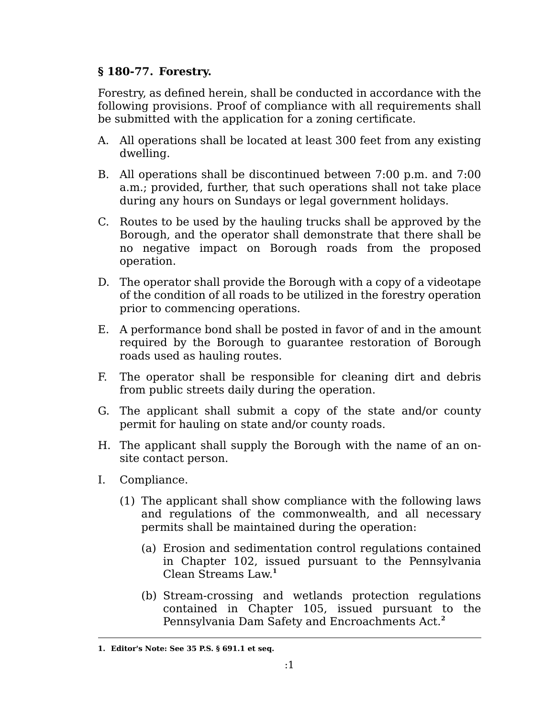## **§ 180-77. Forestry.**

Forestry, as defined herein, shall be conducted in accordance with the following provisions. Proof of compliance with all requirements shall be submitted with the application for a zoning certificate.

- A. All operations shall be located at least 300 feet from any existing dwelling.
- B. All operations shall be discontinued between 7:00 p.m. and 7:00 a.m.; provided, further, that such operations shall not take place during any hours on Sundays or legal government holidays.
- C. Routes to be used by the hauling trucks shall be approved by the Borough, and the operator shall demonstrate that there shall be no negative impact on Borough roads from the proposed operation.
- D. The operator shall provide the Borough with a copy of a videotape of the condition of all roads to be utilized in the forestry operation prior to commencing operations.
- E. A performance bond shall be posted in favor of and in the amount required by the Borough to guarantee restoration of Borough roads used as hauling routes.
- F. The operator shall be responsible for cleaning dirt and debris from public streets daily during the operation.
- G. The applicant shall submit a copy of the state and/or county permit for hauling on state and/or county roads.
- H. The applicant shall supply the Borough with the name of an onsite contact person.
- I. Compliance.
	- (1) The applicant shall show compliance with the following laws and regulations of the commonwealth, and all necessary permits shall be maintained during the operation:
		- (a) Erosion and sedimentation control regulations contained in Chapter 102, issued pursuant to the Pennsylvania Clean Streams Law. **1**
		- (b) Stream-crossing and wetlands protection regulations contained in Chapter 105, issued pursuant to the Pennsylvania Dam Safety and Encroachments Act.**<sup>2</sup>**

**<sup>1.</sup> Editor's Note: See 35 P.S. § 691.1 et seq.**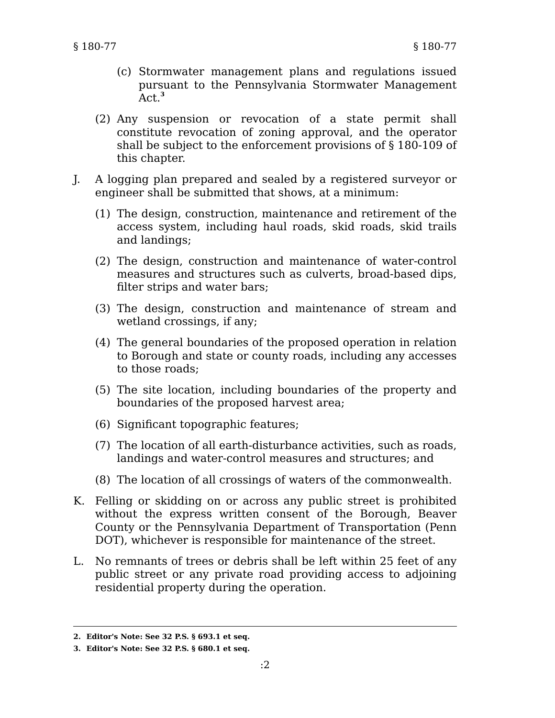- (c) Stormwater management plans and regulations issued pursuant to the Pennsylvania Stormwater Management Act.**<sup>3</sup>**
- (2) Any suspension or revocation of a state permit shall constitute revocation of zoning approval, and the operator shall be subject to the enforcement provisions of § 180-109 of this chapter.
- J. A logging plan prepared and sealed by a registered surveyor or engineer shall be submitted that shows, at a minimum:
	- (1) The design, construction, maintenance and retirement of the access system, including haul roads, skid roads, skid trails and landings;
	- (2) The design, construction and maintenance of water-control measures and structures such as culverts, broad-based dips, filter strips and water bars;
	- (3) The design, construction and maintenance of stream and wetland crossings, if any;
	- (4) The general boundaries of the proposed operation in relation to Borough and state or county roads, including any accesses to those roads;
	- (5) The site location, including boundaries of the property and boundaries of the proposed harvest area;
	- (6) Significant topographic features;
	- (7) The location of all earth-disturbance activities, such as roads, landings and water-control measures and structures; and
	- (8) The location of all crossings of waters of the commonwealth.
- K. Felling or skidding on or across any public street is prohibited without the express written consent of the Borough, Beaver County or the Pennsylvania Department of Transportation (Penn DOT), whichever is responsible for maintenance of the street.
- L. No remnants of trees or debris shall be left within 25 feet of any public street or any private road providing access to adjoining residential property during the operation.

**<sup>2.</sup> Editor's Note: See 32 P.S. § 693.1 et seq.**

**<sup>3.</sup> Editor's Note: See 32 P.S. § 680.1 et seq.**